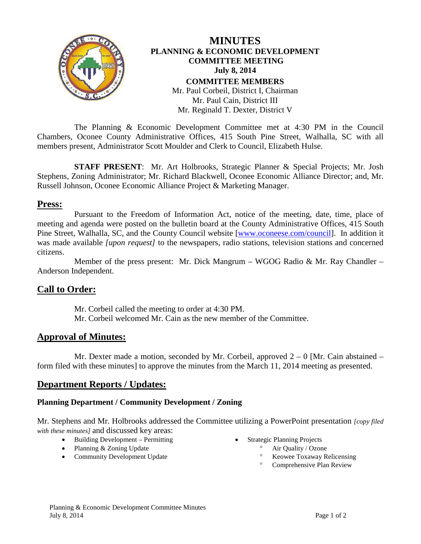

The Planning & Economic Development Committee met at 4:30 PM in the Council Chambers, Oconee County Administrative Offices, 415 South Pine Street, Walhalla, SC with all members present, Administrator Scott Moulder and Clerk to Council, Elizabeth Hulse.

**STAFF PRESENT**: Mr. Art Holbrooks, Strategic Planner & Special Projects; Mr. Josh Stephens, Zoning Administrator; Mr. Richard Blackwell, Oconee Economic Alliance Director; and, Mr. Russell Johnson, Oconee Economic Alliance Project & Marketing Manager.

### **Press:**

Pursuant to the Freedom of Information Act, notice of the meeting, date, time, place of meeting and agenda were posted on the bulletin board at the County Administrative Offices, 415 South Pine Street, Walhalla, SC, and the County Council website [\[www.oconeese.com/council\]](http://www.oconeese.com/council). In addition it was made available *[upon request]* to the newspapers, radio stations, television stations and concerned citizens.

Member of the press present: Mr. Dick Mangrum – WGOG Radio & Mr. Ray Chandler – Anderson Independent.

# **Call to Order:**

Mr. Corbeil called the meeting to order at 4:30 PM. Mr. Corbeil welcomed Mr. Cain as the new member of the Committee.

# **Approval of Minutes:**

Mr. Dexter made a motion, seconded by Mr. Corbeil, approved  $2 - 0$  [Mr. Cain abstained – form filed with these minutes] to approve the minutes from the March 11, 2014 meeting as presented.

# **Department Reports / Updates:**

#### **Planning Department / Community Development / Zoning**

Mr. Stephens and Mr. Holbrooks addressed the Committee utilizing a PowerPoint presentation *[copy filed with these minutes]* and discussed key areas:

- Building Development Permitting
- Planning & Zoning Update
- Community Development Update
- Strategic Planning Projects
	- ° Air Quality / Ozone
		- ° Keowee Toxaway Relicensing
		- ° Comprehensive Plan Review